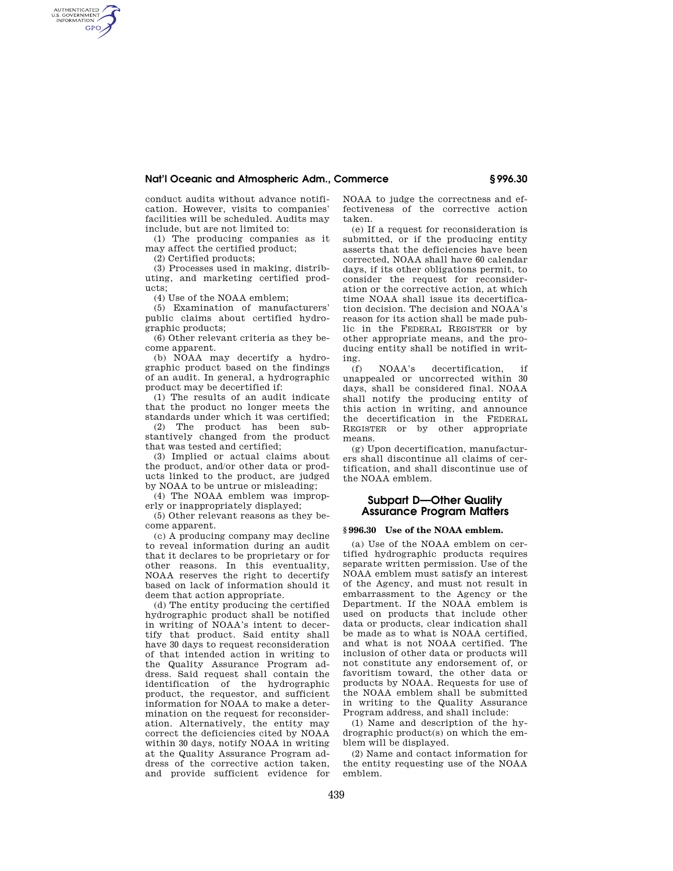## **Nat'l Oceanic and Atmospheric Adm., Commerce § 996.30**

conduct audits without advance notification. However, visits to companies' facilities will be scheduled. Audits may include, but are not limited to:

(1) The producing companies as it may affect the certified product;

(2) Certified products;

AUTHENTICATED<br>U.S. GOVERNMENT<br>INFORMATION **GPO** 

> (3) Processes used in making, distributing, and marketing certified products;

(4) Use of the NOAA emblem;

(5) Examination of manufacturers' public claims about certified hydrographic products;

(6) Other relevant criteria as they become apparent.

(b) NOAA may decertify a hydrographic product based on the findings of an audit. In general, a hydrographic product may be decertified if:

(1) The results of an audit indicate that the product no longer meets the standards under which it was certified;

(2) The product has been substantively changed from the product that was tested and certified;

(3) Implied or actual claims about the product, and/or other data or products linked to the product, are judged by NOAA to be untrue or misleading;

(4) The NOAA emblem was improperly or inappropriately displayed;

(5) Other relevant reasons as they become apparent.

(c) A producing company may decline to reveal information during an audit that it declares to be proprietary or for other reasons. In this eventuality, NOAA reserves the right to decertify based on lack of information should it deem that action appropriate.

(d) The entity producing the certified hydrographic product shall be notified in writing of NOAA's intent to decertify that product. Said entity shall have 30 days to request reconsideration of that intended action in writing to the Quality Assurance Program address. Said request shall contain the identification of the hydrographic product, the requestor, and sufficient information for NOAA to make a determination on the request for reconsideration. Alternatively, the entity may correct the deficiencies cited by NOAA within 30 days, notify NOAA in writing at the Quality Assurance Program address of the corrective action taken, and provide sufficient evidence for

NOAA to judge the correctness and effectiveness of the corrective action taken.

(e) If a request for reconsideration is submitted, or if the producing entity asserts that the deficiencies have been corrected, NOAA shall have 60 calendar days, if its other obligations permit, to consider the request for reconsideration or the corrective action, at which time NOAA shall issue its decertification decision. The decision and NOAA's reason for its action shall be made public in the FEDERAL REGISTER or by other appropriate means, and the producing entity shall be notified in writing.

(f) NOAA's decertification, if unappealed or uncorrected within 30 days, shall be considered final. NOAA shall notify the producing entity of this action in writing, and announce the decertification in the FEDERAL REGISTER or by other appropriate means.

(g) Upon decertification, manufacturers shall discontinue all claims of certification, and shall discontinue use of the NOAA emblem.

# **Subpart D—Other Quality Assurance Program Matters**

## **§ 996.30 Use of the NOAA emblem.**

(a) Use of the NOAA emblem on certified hydrographic products requires separate written permission. Use of the NOAA emblem must satisfy an interest of the Agency, and must not result in embarrassment to the Agency or the Department. If the NOAA emblem is used on products that include other data or products, clear indication shall be made as to what is NOAA certified, and what is not NOAA certified. The inclusion of other data or products will not constitute any endorsement of, or favoritism toward, the other data or products by NOAA. Requests for use of the NOAA emblem shall be submitted in writing to the Quality Assurance Program address, and shall include:

(1) Name and description of the hydrographic product(s) on which the emblem will be displayed.

(2) Name and contact information for the entity requesting use of the NOAA emblem.